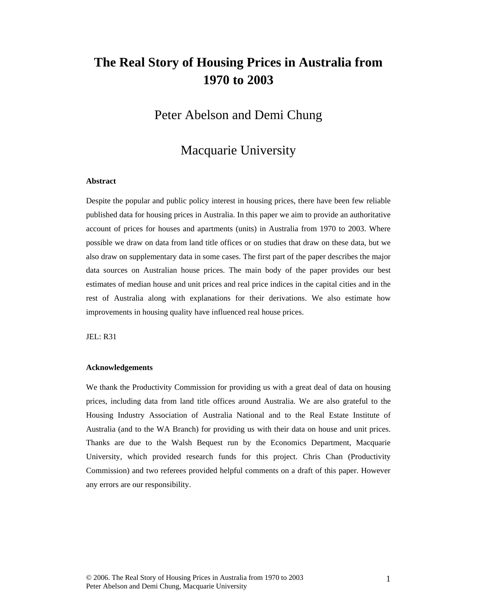# **The Real Story of Housing Prices in Australia from 1970 to 2003**

## Peter Abelson and Demi Chung

## Macquarie University

### **Abstract**

Despite the popular and public policy interest in housing prices, there have been few reliable published data for housing prices in Australia. In this paper we aim to provide an authoritative account of prices for houses and apartments (units) in Australia from 1970 to 2003. Where possible we draw on data from land title offices or on studies that draw on these data, but we also draw on supplementary data in some cases. The first part of the paper describes the major data sources on Australian house prices. The main body of the paper provides our best estimates of median house and unit prices and real price indices in the capital cities and in the rest of Australia along with explanations for their derivations. We also estimate how improvements in housing quality have influenced real house prices.

JEL: R31

#### **Acknowledgements**

We thank the Productivity Commission for providing us with a great deal of data on housing prices, including data from land title offices around Australia. We are also grateful to the Housing Industry Association of Australia National and to the Real Estate Institute of Australia (and to the WA Branch) for providing us with their data on house and unit prices. Thanks are due to the Walsh Bequest run by the Economics Department, Macquarie University, which provided research funds for this project. Chris Chan (Productivity Commission) and two referees provided helpful comments on a draft of this paper. However any errors are our responsibility.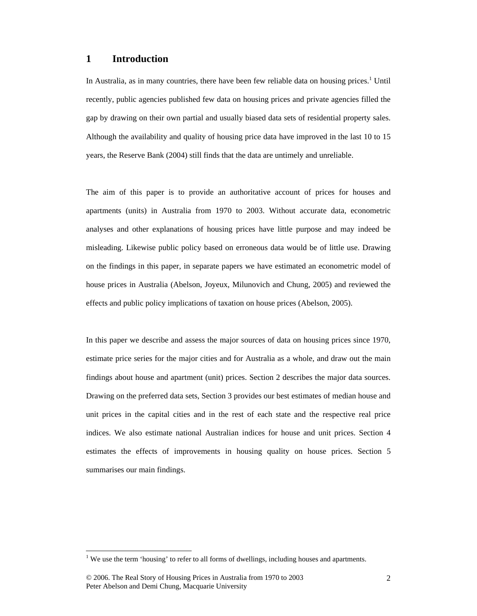### **1 Introduction**

In Australia, as in many countries, there have been few reliable data on housing prices.<sup>1</sup> Until recently, public agencies published few data on housing prices and private agencies filled the gap by drawing on their own partial and usually biased data sets of residential property sales. Although the availability and quality of housing price data have improved in the last 10 to 15 years, the Reserve Bank (2004) still finds that the data are untimely and unreliable.

The aim of this paper is to provide an authoritative account of prices for houses and apartments (units) in Australia from 1970 to 2003. Without accurate data, econometric analyses and other explanations of housing prices have little purpose and may indeed be misleading. Likewise public policy based on erroneous data would be of little use. Drawing on the findings in this paper, in separate papers we have estimated an econometric model of house prices in Australia (Abelson, Joyeux, Milunovich and Chung, 2005) and reviewed the effects and public policy implications of taxation on house prices (Abelson, 2005).

In this paper we describe and assess the major sources of data on housing prices since 1970, estimate price series for the major cities and for Australia as a whole, and draw out the main findings about house and apartment (unit) prices. Section 2 describes the major data sources. Drawing on the preferred data sets, Section 3 provides our best estimates of median house and unit prices in the capital cities and in the rest of each state and the respective real price indices. We also estimate national Australian indices for house and unit prices. Section 4 estimates the effects of improvements in housing quality on house prices. Section 5 summarises our main findings.

<sup>&</sup>lt;sup>1</sup> We use the term 'housing' to refer to all forms of dwellings, including houses and apartments.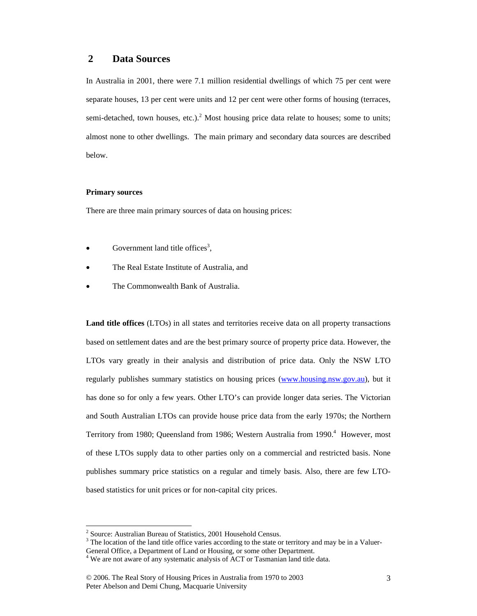### **2 Data Sources**

In Australia in 2001, there were 7.1 million residential dwellings of which 75 per cent were separate houses, 13 per cent were units and 12 per cent were other forms of housing (terraces, semi-detached, town houses, etc.).<sup>2</sup> Most housing price data relate to houses; some to units; almost none to other dwellings. The main primary and secondary data sources are described below.

### **Primary sources**

 $\overline{a}$ 

There are three main primary sources of data on housing prices:

- Government land title offices<sup>3</sup>,
- The Real Estate Institute of Australia, and
- The Commonwealth Bank of Australia.

**Land title offices** (LTOs) in all states and territories receive data on all property transactions based on settlement dates and are the best primary source of property price data. However, the LTOs vary greatly in their analysis and distribution of price data. Only the NSW LTO regularly publishes summary statistics on housing prices (www.housing.nsw.gov.au), but it has done so for only a few years. Other LTO's can provide longer data series. The Victorian and South Australian LTOs can provide house price data from the early 1970s; the Northern Territory from 1980; Queensland from 1986; Western Australia from 1990.<sup>4</sup> However, most of these LTOs supply data to other parties only on a commercial and restricted basis. None publishes summary price statistics on a regular and timely basis. Also, there are few LTObased statistics for unit prices or for non-capital city prices.

<sup>&</sup>lt;sup>2</sup> Source: Australian Bureau of Statistics, 2001 Household Census.

 $3$  The location of the land title office varies according to the state or territory and may be in a Valuer-

General Office, a Department of Land or Housing, or some other Department. <sup>4</sup> We are not aware of any systematic analysis of ACT or Tasmanian land title data.

<sup>© 2006.</sup> The Real Story of Housing Prices in Australia from 1970 to 2003 Peter Abelson and Demi Chung, Macquarie University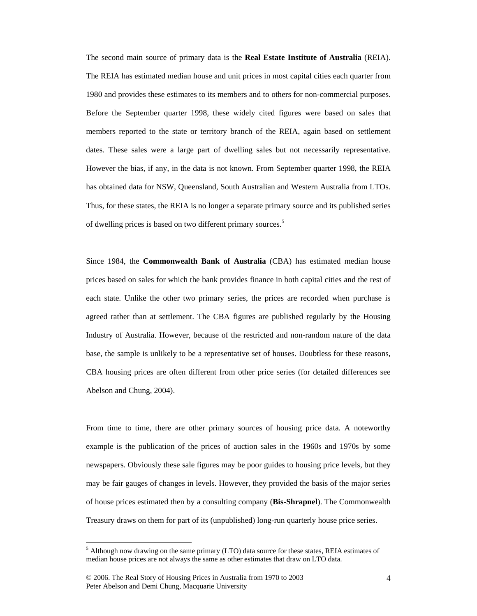The second main source of primary data is the **Real Estate Institute of Australia** (REIA). The REIA has estimated median house and unit prices in most capital cities each quarter from 1980 and provides these estimates to its members and to others for non-commercial purposes. Before the September quarter 1998, these widely cited figures were based on sales that members reported to the state or territory branch of the REIA, again based on settlement dates. These sales were a large part of dwelling sales but not necessarily representative. However the bias, if any, in the data is not known. From September quarter 1998, the REIA has obtained data for NSW, Queensland, South Australian and Western Australia from LTOs. Thus, for these states, the REIA is no longer a separate primary source and its published series of dwelling prices is based on two different primary sources.<sup>5</sup>

Since 1984, the **Commonwealth Bank of Australia** (CBA) has estimated median house prices based on sales for which the bank provides finance in both capital cities and the rest of each state. Unlike the other two primary series, the prices are recorded when purchase is agreed rather than at settlement. The CBA figures are published regularly by the Housing Industry of Australia. However, because of the restricted and non-random nature of the data base, the sample is unlikely to be a representative set of houses. Doubtless for these reasons, CBA housing prices are often different from other price series (for detailed differences see Abelson and Chung, 2004).

From time to time, there are other primary sources of housing price data. A noteworthy example is the publication of the prices of auction sales in the 1960s and 1970s by some newspapers. Obviously these sale figures may be poor guides to housing price levels, but they may be fair gauges of changes in levels. However, they provided the basis of the major series of house prices estimated then by a consulting company (**Bis-Shrapnel**). The Commonwealth Treasury draws on them for part of its (unpublished) long-run quarterly house price series.

 $\overline{a}$ 

<sup>&</sup>lt;sup>5</sup> Although now drawing on the same primary (LTO) data source for these states, REIA estimates of median house prices are not always the same as other estimates that draw on LTO data.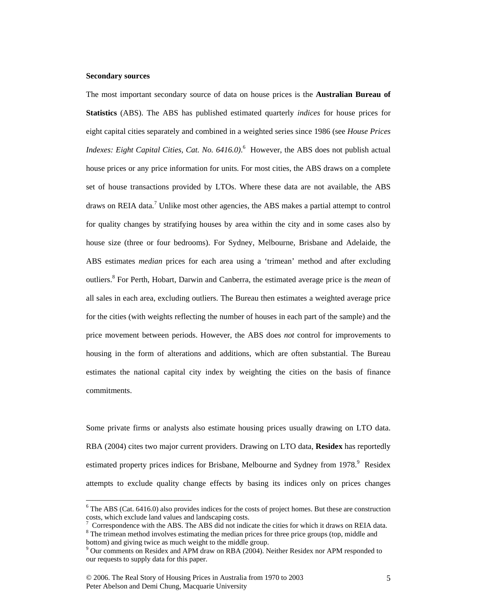### **Secondary sources**

 $\overline{a}$ 

The most important secondary source of data on house prices is the **Australian Bureau of Statistics** (ABS). The ABS has published estimated quarterly *indices* for house prices for eight capital cities separately and combined in a weighted series since 1986 (see *House Prices Indexes: Eight Capital Cities, Cat. No.* 6416.0). <sup>6</sup> However, the ABS does not publish actual house prices or any price information for units. For most cities, the ABS draws on a complete set of house transactions provided by LTOs. Where these data are not available, the ABS draws on REIA data.<sup>7</sup> Unlike most other agencies, the ABS makes a partial attempt to control for quality changes by stratifying houses by area within the city and in some cases also by house size (three or four bedrooms). For Sydney, Melbourne, Brisbane and Adelaide, the ABS estimates *median* prices for each area using a 'trimean' method and after excluding outliers.<sup>8</sup> For Perth, Hobart, Darwin and Canberra, the estimated average price is the *mean* of all sales in each area, excluding outliers. The Bureau then estimates a weighted average price for the cities (with weights reflecting the number of houses in each part of the sample) and the price movement between periods. However, the ABS does *not* control for improvements to housing in the form of alterations and additions, which are often substantial. The Bureau estimates the national capital city index by weighting the cities on the basis of finance commitments.

Some private firms or analysts also estimate housing prices usually drawing on LTO data. RBA (2004) cites two major current providers. Drawing on LTO data, **Residex** has reportedly estimated property prices indices for Brisbane, Melbourne and Sydney from 1978.<sup>9</sup> Residex attempts to exclude quality change effects by basing its indices only on prices changes

 $6$  The ABS (Cat. 6416.0) also provides indices for the costs of project homes. But these are construction costs, which exclude land values and landscaping costs.

<sup>7</sup> Correspondence with the ABS. The ABS did not indicate the cities for which it draws on REIA data.

 $8$  The trimean method involves estimating the median prices for three price groups (top, middle and bottom) and giving twice as much weight to the middle group.

<sup>&</sup>lt;sup>9</sup> Our comments on Residex and APM draw on RBA (2004). Neither Residex nor APM responded to our requests to supply data for this paper.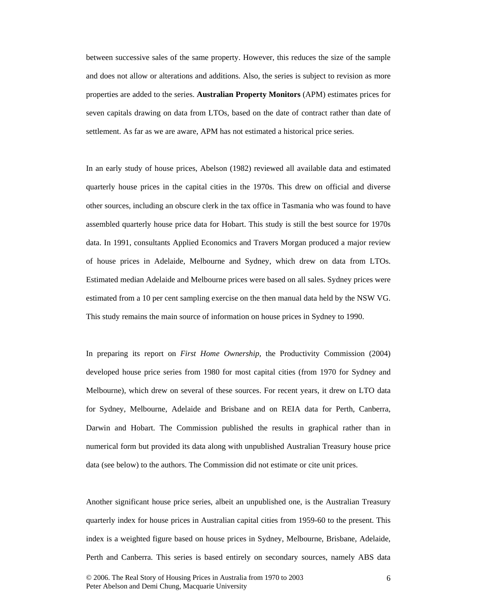between successive sales of the same property. However, this reduces the size of the sample and does not allow or alterations and additions. Also, the series is subject to revision as more properties are added to the series. **Australian Property Monitors** (APM) estimates prices for seven capitals drawing on data from LTOs, based on the date of contract rather than date of settlement. As far as we are aware, APM has not estimated a historical price series.

In an early study of house prices, Abelson (1982) reviewed all available data and estimated quarterly house prices in the capital cities in the 1970s. This drew on official and diverse other sources, including an obscure clerk in the tax office in Tasmania who was found to have assembled quarterly house price data for Hobart. This study is still the best source for 1970s data. In 1991, consultants Applied Economics and Travers Morgan produced a major review of house prices in Adelaide, Melbourne and Sydney, which drew on data from LTOs. Estimated median Adelaide and Melbourne prices were based on all sales. Sydney prices were estimated from a 10 per cent sampling exercise on the then manual data held by the NSW VG. This study remains the main source of information on house prices in Sydney to 1990.

In preparing its report on *First Home Ownership,* the Productivity Commission (2004) developed house price series from 1980 for most capital cities (from 1970 for Sydney and Melbourne), which drew on several of these sources. For recent years, it drew on LTO data for Sydney, Melbourne, Adelaide and Brisbane and on REIA data for Perth, Canberra, Darwin and Hobart. The Commission published the results in graphical rather than in numerical form but provided its data along with unpublished Australian Treasury house price data (see below) to the authors. The Commission did not estimate or cite unit prices.

Another significant house price series, albeit an unpublished one, is the Australian Treasury quarterly index for house prices in Australian capital cities from 1959-60 to the present. This index is a weighted figure based on house prices in Sydney, Melbourne, Brisbane, Adelaide, Perth and Canberra. This series is based entirely on secondary sources, namely ABS data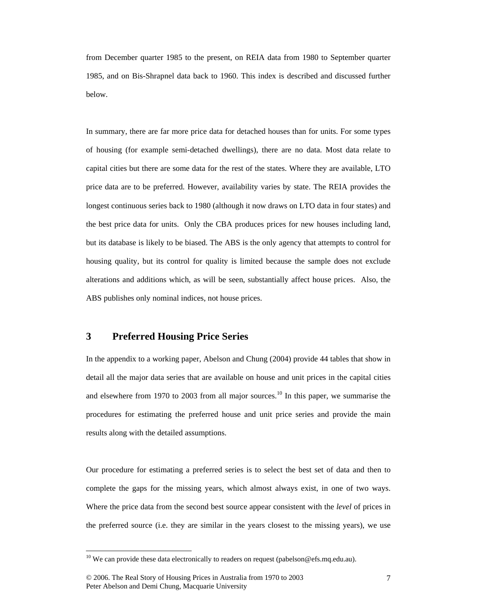from December quarter 1985 to the present, on REIA data from 1980 to September quarter 1985, and on Bis-Shrapnel data back to 1960. This index is described and discussed further below.

In summary, there are far more price data for detached houses than for units. For some types of housing (for example semi-detached dwellings), there are no data. Most data relate to capital cities but there are some data for the rest of the states. Where they are available, LTO price data are to be preferred. However, availability varies by state. The REIA provides the longest continuous series back to 1980 (although it now draws on LTO data in four states) and the best price data for units. Only the CBA produces prices for new houses including land, but its database is likely to be biased. The ABS is the only agency that attempts to control for housing quality, but its control for quality is limited because the sample does not exclude alterations and additions which, as will be seen, substantially affect house prices. Also, the ABS publishes only nominal indices, not house prices.

### **3 Preferred Housing Price Series**

In the appendix to a working paper, Abelson and Chung (2004) provide 44 tables that show in detail all the major data series that are available on house and unit prices in the capital cities and elsewhere from 1970 to 2003 from all major sources.<sup>10</sup> In this paper, we summarise the procedures for estimating the preferred house and unit price series and provide the main results along with the detailed assumptions.

Our procedure for estimating a preferred series is to select the best set of data and then to complete the gaps for the missing years, which almost always exist, in one of two ways. Where the price data from the second best source appear consistent with the *level* of prices in the preferred source (i.e. they are similar in the years closest to the missing years), we use

<sup>&</sup>lt;sup>10</sup> We can provide these data electronically to readers on request (pabelson@efs.mq.edu.au).

<sup>© 2006.</sup> The Real Story of Housing Prices in Australia from 1970 to 2003 Peter Abelson and Demi Chung, Macquarie University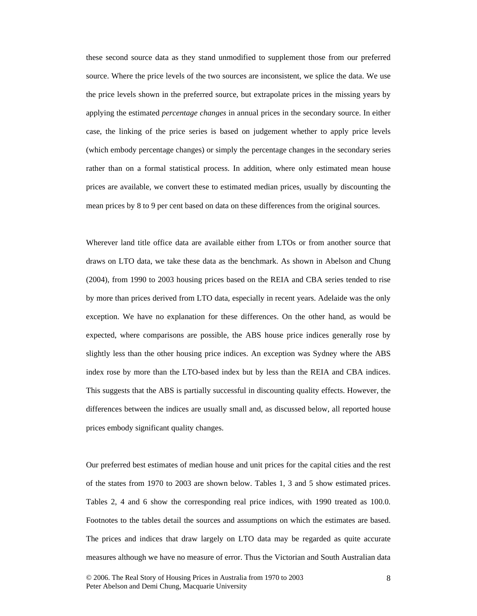these second source data as they stand unmodified to supplement those from our preferred source. Where the price levels of the two sources are inconsistent, we splice the data. We use the price levels shown in the preferred source, but extrapolate prices in the missing years by applying the estimated *percentage changes* in annual prices in the secondary source. In either case, the linking of the price series is based on judgement whether to apply price levels (which embody percentage changes) or simply the percentage changes in the secondary series rather than on a formal statistical process. In addition, where only estimated mean house prices are available, we convert these to estimated median prices, usually by discounting the mean prices by 8 to 9 per cent based on data on these differences from the original sources.

Wherever land title office data are available either from LTOs or from another source that draws on LTO data, we take these data as the benchmark. As shown in Abelson and Chung (2004), from 1990 to 2003 housing prices based on the REIA and CBA series tended to rise by more than prices derived from LTO data, especially in recent years. Adelaide was the only exception. We have no explanation for these differences. On the other hand, as would be expected, where comparisons are possible, the ABS house price indices generally rose by slightly less than the other housing price indices. An exception was Sydney where the ABS index rose by more than the LTO-based index but by less than the REIA and CBA indices. This suggests that the ABS is partially successful in discounting quality effects. However, the differences between the indices are usually small and, as discussed below, all reported house prices embody significant quality changes.

Our preferred best estimates of median house and unit prices for the capital cities and the rest of the states from 1970 to 2003 are shown below. Tables 1, 3 and 5 show estimated prices. Tables 2, 4 and 6 show the corresponding real price indices, with 1990 treated as 100.0. Footnotes to the tables detail the sources and assumptions on which the estimates are based. The prices and indices that draw largely on LTO data may be regarded as quite accurate measures although we have no measure of error. Thus the Victorian and South Australian data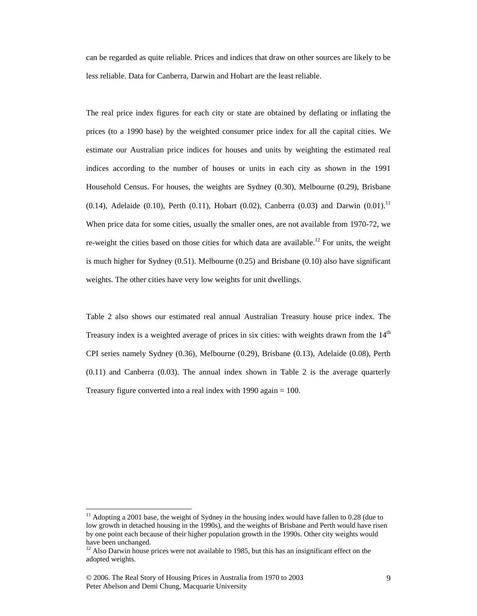can be regarded as quite reliable. Prices and indices that draw on other sources are likely to be less reliable. Data for Canberra, Darwin and Hobart are the least reliable.

The real price index figures for each city or state are obtained by deflating or inflating the prices (to a 1990 base) by the weighted consumer price index for all the capital cities. We estimate our Australian price indices for houses and units by weighting the estimated real indices according to the number of houses or units in each city as shown in the 1991 Household Census. For houses, the weights are Sydney (0.30), Melbourne (0.29), Brisbane (0.14), Adelaide (0.10), Perth (0.11), Hobart (0.02), Canberra (0.03) and Darwin (0.01).<sup>11</sup> When price data for some cities, usually the smaller ones, are not available from 1970-72, we re-weight the cities based on those cities for which data are available.<sup>12</sup> For units, the weight is much higher for Sydney (0.51). Melbourne (0.25) and Brisbane (0.10) also have significant weights. The other cities have very low weights for unit dwellings.

Table 2 also shows our estimated real annual Australian Treasury house price index. The Treasury index is a weighted average of prices in six cities: with weights drawn from the  $14<sup>th</sup>$ CPI series namely Sydney (0.36), Melbourne (0.29), Brisbane (0.13), Adelaide (0.08), Perth (0.11) and Canberra (0.03). The annual index shown in Table 2 is the average quarterly Treasury figure converted into a real index with 1990 again = 100.

 $\overline{a}$ 

 $11$  Adopting a 2001 base, the weight of Sydney in the housing index would have fallen to 0.28 (due to low growth in detached housing in the 1990s), and the weights of Brisbane and Perth would have risen by one point each because of their higher population growth in the 1990s. Other city weights would have been unchanged.

 $12$  Also Darwin house prices were not available to 1985, but this has an insignificant effect on the adopted weights.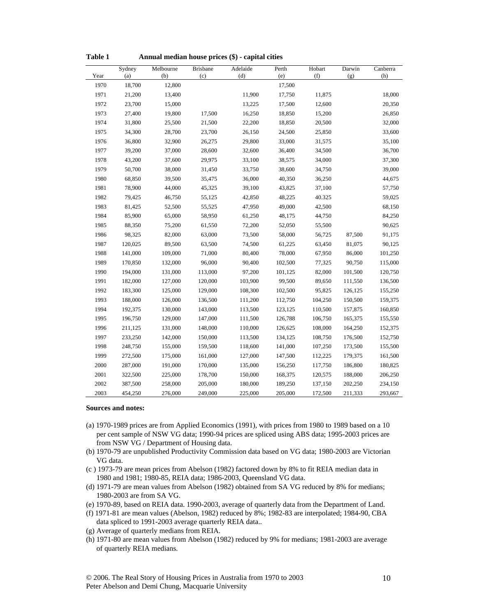| Year | Sydney<br>(a) | Melbourne<br>(b) | <b>Brisbane</b><br>(c) | Adelaide<br>(d) | Perth<br>(e) | Hobart<br>(f) | Darwin<br>(g) | Canberra<br>(h) |
|------|---------------|------------------|------------------------|-----------------|--------------|---------------|---------------|-----------------|
| 1970 | 18,700        | 12,800           |                        |                 | 17,500       |               |               |                 |
| 1971 | 21,200        | 13,400           |                        | 11,900          | 17,750       | 11,875        |               | 18,000          |
| 1972 | 23,700        | 15,000           |                        | 13,225          | 17,500       | 12,600        |               | 20,350          |
| 1973 | 27,400        | 19,800           | 17,500                 | 16,250          | 18,850       | 15,200        |               | 26,850          |
| 1974 | 31,800        | 25,500           | 21,500                 | 22,200          | 18,850       | 20,500        |               | 32,000          |
| 1975 | 34,300        | 28,700           | 23,700                 | 26,150          | 24,500       | 25,850        |               | 33,600          |
| 1976 | 36,800        | 32,900           | 26,275                 | 29,800          | 33,000       | 31,575        |               | 35,100          |
| 1977 | 39,200        | 37,000           | 28,600                 | 32,600          | 36,400       | 34,500        |               | 36,700          |
| 1978 | 43,200        | 37,600           | 29,975                 | 33,100          | 38,575       | 34,000        |               | 37,300          |
| 1979 | 50,700        | 38,000           | 31,450                 | 33,750          | 38,600       | 34,750        |               | 39,000          |
| 1980 | 68,850        | 39,500           | 35,475                 | 36,000          | 40,350       | 36,250        |               | 44,675          |
| 1981 | 78,900        | 44,000           | 45,325                 | 39,100          | 43,825       | 37,100        |               | 57,750          |
| 1982 | 79,425        | 46,750           | 55,125                 | 42,850          | 48,225       | 40.325        |               | 59,025          |
| 1983 | 81,425        | 52,500           | 55,525                 | 47,950          | 49,000       | 42,500        |               | 68,150          |
| 1984 | 85,900        | 65,000           | 58,950                 | 61,250          | 48,175       | 44,750        |               | 84,250          |
| 1985 | 88,350        | 75,200           | 61,550                 | 72,200          | 52,050       | 55,500        |               | 90,625          |
| 1986 | 98,325        | 82,000           | 63,000                 | 73,500          | 58,000       | 56,725        | 87,500        | 91,175          |
| 1987 | 120,025       | 89,500           | 63,500                 | 74,500          | 61,225       | 63,450        | 81,075        | 90,125          |
| 1988 | 141,000       | 109,000          | 71,000                 | 80,400          | 78,000       | 67,950        | 86,000        | 101,250         |
| 1989 | 170,850       | 132,000          | 96,000                 | 90,400          | 102,500      | 77,325        | 90,750        | 115,000         |
| 1990 | 194,000       | 131,000          | 113,000                | 97,200          | 101,125      | 82,000        | 101,500       | 120,750         |
| 1991 | 182,000       | 127,000          | 120,000                | 103,900         | 99,500       | 89,650        | 111,550       | 136,500         |
| 1992 | 183,300       | 125,000          | 129,000                | 108,300         | 102,500      | 95,825        | 126,125       | 155,250         |
| 1993 | 188,000       | 126,000          | 136,500                | 111,200         | 112,750      | 104,250       | 150,500       | 159,375         |
| 1994 | 192,375       | 130,000          | 143,000                | 113,500         | 123,125      | 110,500       | 157,875       | 160,850         |
| 1995 | 196,750       | 129,000          | 147,000                | 111,500         | 126,788      | 106,750       | 165,375       | 155,550         |
| 1996 | 211,125       | 131,000          | 148,000                | 110,000         | 126,625      | 108,000       | 164,250       | 152,375         |
| 1997 | 233,250       | 142,000          | 150,000                | 113,500         | 134,125      | 108,750       | 176,500       | 152,750         |
| 1998 | 248,750       | 155,000          | 159,500                | 118,600         | 141,000      | 107,250       | 173,500       | 155,500         |
| 1999 | 272,500       | 175,000          | 161,000                | 127,000         | 147,500      | 112,225       | 179,375       | 161,500         |
| 2000 | 287,000       | 191,000          | 170,000                | 135,000         | 156,250      | 117,750       | 186,800       | 180,825         |
| 2001 | 322,500       | 225,000          | 178,700                | 150,000         | 168,375      | 120,575       | 188,000       | 206,250         |
| 2002 | 387,500       | 258,000          | 205,000                | 180,000         | 189,250      | 137,150       | 202,250       | 234,150         |
| 2003 | 454,250       | 276,000          | 249,000                | 225,000         | 205,000      | 172,500       | 211,333       | 293,667         |

**Table 1 Annual median house prices (\$) - capital cities** 

#### **Sources and notes:**

- (a) 1970-1989 prices are from Applied Economics (1991), with prices from 1980 to 1989 based on a 10 per cent sample of NSW VG data; 1990-94 prices are spliced using ABS data; 1995-2003 prices are from NSW VG / Department of Housing data.
- (b) 1970-79 are unpublished Productivity Commission data based on VG data; 1980-2003 are Victorian VG data.
- (c ) 1973-79 are mean prices from Abelson (1982) factored down by 8% to fit REIA median data in 1980 and 1981; 1980-85, REIA data; 1986-2003, Queensland VG data.
- (d) 1971-79 are mean values from Abelson (1982) obtained from SA VG reduced by 8% for medians; 1980-2003 are from SA VG.
- (e) 1970-89, based on REIA data. 1990-2003, average of quarterly data from the Department of Land.
- (f) 1971-81 are mean values (Abelson, 1982) reduced by 8%; 1982-83 are interpolated; 1984-90, CBA data spliced to 1991-2003 average quarterly REIA data..
- (g) Average of quarterly medians from REIA.
- (h) 1971-80 are mean values from Abelson (1982) reduced by 9% for medians; 1981-2003 are average of quarterly REIA medians.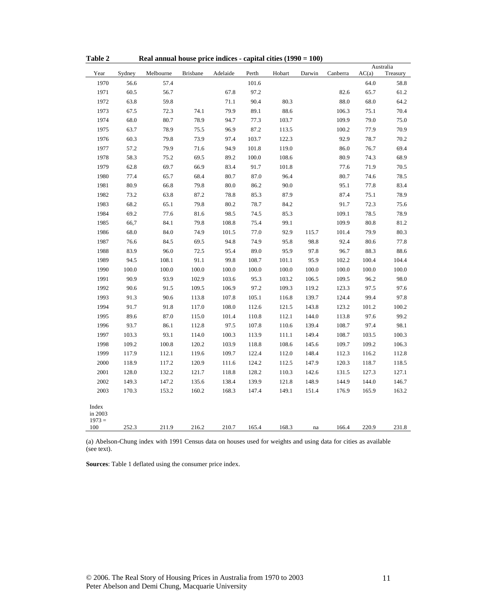| Table 2                             |        | Real annual house price indices - capital cities $(1990 = 100)$ |                 |          |       |        |        |          |       |                  |
|-------------------------------------|--------|-----------------------------------------------------------------|-----------------|----------|-------|--------|--------|----------|-------|------------------|
| Year                                | Sydney | Melbourne                                                       | <b>Brisbane</b> | Adelaide | Perth | Hobart | Darwin | Canberra | AC(a) | Australia        |
| 1970                                | 56.6   | 57.4                                                            |                 |          | 101.6 |        |        |          | 64.0  | Treasury<br>58.8 |
| 1971                                | 60.5   | 56.7                                                            |                 | 67.8     | 97.2  |        |        | 82.6     | 65.7  | 61.2             |
| 1972                                | 63.8   | 59.8                                                            |                 | 71.1     | 90.4  | 80.3   |        | 88.0     | 68.0  | 64.2             |
| 1973                                | 67.5   | 72.3                                                            | 74.1            | 79.9     | 89.1  | 88.6   |        | 106.3    | 75.1  | 70.4             |
| 1974                                | 68.0   | 80.7                                                            | 78.9            | 94.7     | 77.3  | 103.7  |        | 109.9    | 79.0  | 75.0             |
| 1975                                | 63.7   | 78.9                                                            | 75.5            | 96.9     | 87.2  | 113.5  |        | 100.2    | 77.9  | 70.9             |
| 1976                                | 60.3   | 79.8                                                            | 73.9            | 97.4     | 103.7 | 122.3  |        | 92.9     | 78.7  | 70.2             |
| 1977                                | 57.2   | 79.9                                                            | 71.6            | 94.9     | 101.8 | 119.0  |        | 86.0     | 76.7  | 69.4             |
| 1978                                | 58.3   | 75.2                                                            | 69.5            | 89.2     | 100.0 | 108.6  |        | 80.9     | 74.3  | 68.9             |
| 1979                                | 62.8   | 69.7                                                            | 66.9            | 83.4     | 91.7  | 101.8  |        | 77.6     | 71.9  | 70.5             |
| 1980                                | 77.4   | 65.7                                                            | 68.4            | 80.7     | 87.0  | 96.4   |        | 80.7     | 74.6  | 78.5             |
| 1981                                | 80.9   | 66.8                                                            | 79.8            | 80.0     | 86.2  | 90.0   |        | 95.1     | 77.8  | 83.4             |
| 1982                                | 73.2   | 63.8                                                            | 87.2            | 78.8     | 85.3  | 87.9   |        | 87.4     | 75.1  | 78.9             |
| 1983                                | 68.2   | 65.1                                                            | 79.8            | 80.2     | 78.7  | 84.2   |        | 91.7     | 72.3  | 75.6             |
| 1984                                | 69.2   | 77.6                                                            | 81.6            | 98.5     | 74.5  | 85.3   |        | 109.1    | 78.5  | 78.9             |
| 1985                                | 66,7   | 84.1                                                            | 79.8            | 108.8    | 75.4  | 99.1   |        | 109.9    | 80.8  | 81.2             |
| 1986                                | 68.0   | 84.0                                                            | 74.9            | 101.5    | 77.0  | 92.9   | 115.7  | 101.4    | 79.9  | 80.3             |
| 1987                                | 76.6   | 84.5                                                            | 69.5            | 94.8     | 74.9  | 95.8   | 98.8   | 92.4     | 80.6  | 77.8             |
| 1988                                | 83.9   | 96.0                                                            | 72.5            | 95.4     | 89.0  | 95.9   | 97.8   | 96.7     | 88.3  | 88.6             |
| 1989                                | 94.5   | 108.1                                                           | 91.1            | 99.8     | 108.7 | 101.1  | 95.9   | 102.2    | 100.4 | 104.4            |
| 1990                                | 100.0  | 100.0                                                           | 100.0           | 100.0    | 100.0 | 100.0  | 100.0  | 100.0    | 100.0 | 100.0            |
| 1991                                | 90.9   | 93.9                                                            | 102.9           | 103.6    | 95.3  | 103.2  | 106.5  | 109.5    | 96.2  | 98.0             |
| 1992                                | 90.6   | 91.5                                                            | 109.5           | 106.9    | 97.2  | 109.3  | 119.2  | 123.3    | 97.5  | 97.6             |
| 1993                                | 91.3   | 90.6                                                            | 113.8           | 107.8    | 105.1 | 116.8  | 139.7  | 124.4    | 99.4  | 97.8             |
| 1994                                | 91.7   | 91.8                                                            | 117.0           | 108.0    | 112.6 | 121.5  | 143.8  | 123.2    | 101.2 | 100.2            |
| 1995                                | 89.6   | 87.0                                                            | 115.0           | 101.4    | 110.8 | 112.1  | 144.0  | 113.8    | 97.6  | 99.2             |
| 1996                                | 93.7   | 86.1                                                            | 112.8           | 97.5     | 107.8 | 110.6  | 139.4  | 108.7    | 97.4  | 98.1             |
| 1997                                | 103.3  | 93.1                                                            | 114.0           | 100.3    | 113.9 | 111.1  | 149.4  | 108.7    | 103.5 | 100.3            |
| 1998                                | 109.2  | 100.8                                                           | 120.2           | 103.9    | 118.8 | 108.6  | 145.6  | 109.7    | 109.2 | 106.3            |
| 1999                                | 117.9  | 112.1                                                           | 119.6           | 109.7    | 122.4 | 112.0  | 148.4  | 112.3    | 116.2 | 112.8            |
| 2000                                | 118.9  | 117.2                                                           | 120.9           | 111.6    | 124.2 | 112.5  | 147.9  | 120.3    | 118.7 | 118.5            |
| 2001                                | 128.0  | 132.2                                                           | 121.7           | 118.8    | 128.2 | 110.3  | 142.6  | 131.5    | 127.3 | 127.1            |
| 2002                                | 149.3  | 147.2                                                           | 135.6           | 138.4    | 139.9 | 121.8  | 148.9  | 144.9    | 144.0 | 146.7            |
| 2003                                | 170.3  | 153.2                                                           | 160.2           | 168.3    | 147.4 | 149.1  | 151.4  | 176.9    | 165.9 | 163.2            |
| Index<br>in 2003<br>$1973 =$<br>100 | 252.3  | 211.9                                                           | 216.2           | 210.7    | 165.4 | 168.3  | na     | 166.4    | 220.9 | 231.8            |

(a) Abelson-Chung index with 1991 Census data on houses used for weights and using data for cities as available (see text).

**Sources**: Table 1 deflated using the consumer price index.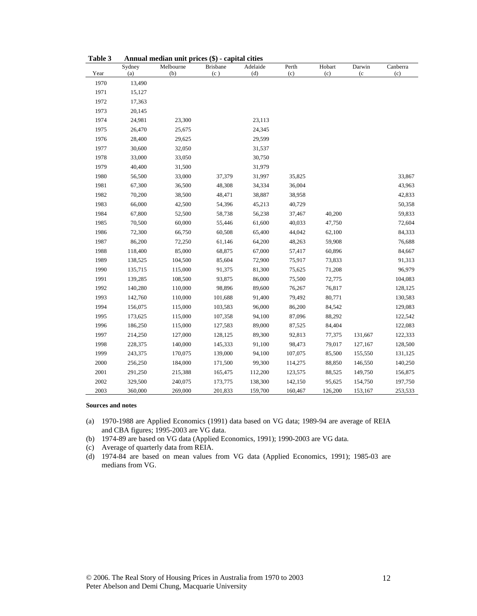| l avie J |               | Allingar median unit prices $(\phi)$ - capital cities |                        |                 |              |               |               |                 |
|----------|---------------|-------------------------------------------------------|------------------------|-----------------|--------------|---------------|---------------|-----------------|
| Year     | Sydney<br>(a) | Melbourne<br>(b)                                      | <b>Brisbane</b><br>(c) | Adelaide<br>(d) | Perth<br>(c) | Hobart<br>(c) | Darwin<br>(c) | Canberra<br>(c) |
| 1970     | 13,490        |                                                       |                        |                 |              |               |               |                 |
| 1971     | 15,127        |                                                       |                        |                 |              |               |               |                 |
| 1972     | 17,363        |                                                       |                        |                 |              |               |               |                 |
| 1973     | 20,145        |                                                       |                        |                 |              |               |               |                 |
| 1974     | 24,981        | 23,300                                                |                        | 23,113          |              |               |               |                 |
| 1975     | 26,470        | 25,675                                                |                        | 24,345          |              |               |               |                 |
| 1976     | 28,400        | 29,625                                                |                        | 29,599          |              |               |               |                 |
| 1977     | 30,600        | 32,050                                                |                        | 31,537          |              |               |               |                 |
| 1978     | 33,000        | 33,050                                                |                        | 30,750          |              |               |               |                 |
| 1979     | 40,400        | 31,500                                                |                        | 31,979          |              |               |               |                 |
| 1980     | 56,500        | 33,000                                                | 37,379                 | 31,997          | 35,825       |               |               | 33,867          |
| 1981     | 67,300        | 36,500                                                | 48,308                 | 34,334          | 36,004       |               |               | 43,963          |
| 1982     | 70,200        | 38,500                                                | 48,471                 | 38,887          | 38,958       |               |               | 42,833          |
| 1983     | 66,000        | 42,500                                                | 54,396                 | 45,213          | 40,729       |               |               | 50,358          |
| 1984     | 67,800        | 52,500                                                | 58,738                 | 56,238          | 37,467       | 40,200        |               | 59,833          |
| 1985     | 70,500        | 60,000                                                | 55,446                 | 61,600          | 40,033       | 47,750        |               | 72,604          |
| 1986     | 72,300        | 66,750                                                | 60,508                 | 65,400          | 44,042       | 62,100        |               | 84,333          |
| 1987     | 86,200        | 72,250                                                | 61,146                 | 64,200          | 48,263       | 59,908        |               | 76,688          |
| 1988     | 118,400       | 85,000                                                | 68,875                 | 67,000          | 57,417       | 60,896        |               | 84,667          |
| 1989     | 138,525       | 104,500                                               | 85,604                 | 72,900          | 75,917       | 73,833        |               | 91,313          |
| 1990     | 135,715       | 115,000                                               | 91,375                 | 81,300          | 75,625       | 71,208        |               | 96,979          |
| 1991     | 139,285       | 108,500                                               | 93,875                 | 86,000          | 75,500       | 72,775        |               | 104,083         |
| 1992     | 140,280       | 110,000                                               | 98,896                 | 89,600          | 76,267       | 76,817        |               | 128,125         |
| 1993     | 142,760       | 110,000                                               | 101,688                | 91,400          | 79,492       | 80,771        |               | 130,583         |
| 1994     | 156,075       | 115,000                                               | 103,583                | 96,000          | 86,200       | 84,542        |               | 129,083         |
| 1995     | 173,625       | 115,000                                               | 107,358                | 94,100          | 87,096       | 88,292        |               | 122,542         |
| 1996     | 186,250       | 115,000                                               | 127,583                | 89,000          | 87,525       | 84,404        |               | 122,083         |
| 1997     | 214,250       | 127,000                                               | 128,125                | 89,300          | 92,813       | 77,375        | 131,667       | 122,333         |
| 1998     | 228,375       | 140,000                                               | 145,333                | 91,100          | 98,473       | 79,017        | 127,167       | 128,500         |
| 1999     | 243,375       | 170,075                                               | 139,000                | 94,100          | 107,075      | 85,500        | 155,550       | 131,125         |
| 2000     | 256,250       | 184,000                                               | 171,500                | 99,300          | 114,275      | 88,850        | 146,550       | 140,250         |
| 2001     | 291,250       | 215,388                                               | 165,475                | 112,200         | 123,575      | 88,525        | 149,750       | 156,875         |
| 2002     | 329,500       | 240,075                                               | 173,775                | 138,300         | 142,150      | 95,625        | 154,750       | 197,750         |
| 2003     | 360,000       | 269,000                                               | 201,833                | 159,700         | 160,467      | 126,200       | 153,167       | 253,533         |

| Annual median unit prices (\$) - capital cities<br>Table 3 |  |
|------------------------------------------------------------|--|
|------------------------------------------------------------|--|

#### **Sources and notes**

- (a) 1970-1988 are Applied Economics (1991) data based on VG data; 1989-94 are average of REIA and CBA figures; 1995-2003 are VG data.
- (b) 1974-89 are based on VG data (Applied Economics, 1991); 1990-2003 are VG data.
- (c) Average of quarterly data from REIA.
- (d) 1974-84 are based on mean values from VG data (Applied Economics, 1991); 1985-03 are medians from VG.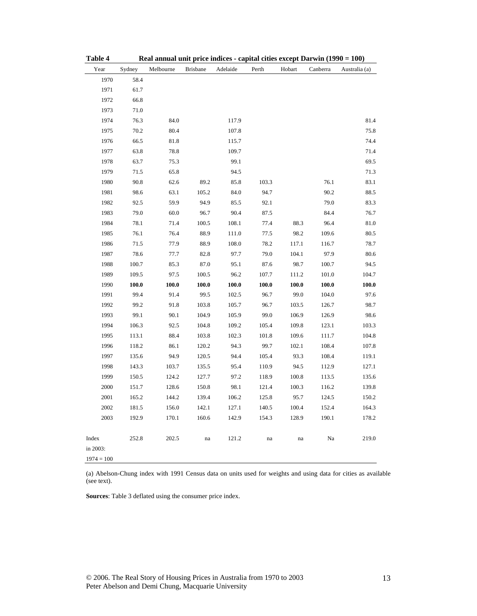| Table 4      | Real annual unit price indices - capital cities except Darwin (1990 = 100) |           |                 |          |       |        |          |               |
|--------------|----------------------------------------------------------------------------|-----------|-----------------|----------|-------|--------|----------|---------------|
| Year         | Sydney                                                                     | Melbourne | <b>Brisbane</b> | Adelaide | Perth | Hobart | Canberra | Australia (a) |
| 1970         | 58.4                                                                       |           |                 |          |       |        |          |               |
| 1971         | 61.7                                                                       |           |                 |          |       |        |          |               |
| 1972         | 66.8                                                                       |           |                 |          |       |        |          |               |
| 1973         | 71.0                                                                       |           |                 |          |       |        |          |               |
| 1974         | 76.3                                                                       | 84.0      |                 | 117.9    |       |        |          | 81.4          |
| 1975         | 70.2                                                                       | 80.4      |                 | 107.8    |       |        |          | 75.8          |
| 1976         | 66.5                                                                       | 81.8      |                 | 115.7    |       |        |          | 74.4          |
| 1977         | 63.8                                                                       | 78.8      |                 | 109.7    |       |        |          | 71.4          |
| 1978         | 63.7                                                                       | 75.3      |                 | 99.1     |       |        |          | 69.5          |
| 1979         | 71.5                                                                       | 65.8      |                 | 94.5     |       |        |          | 71.3          |
| 1980         | 90.8                                                                       | 62.6      | 89.2            | 85.8     | 103.3 |        | 76.1     | 83.1          |
| 1981         | 98.6                                                                       | 63.1      | 105.2           | 84.0     | 94.7  |        | 90.2     | 88.5          |
| 1982         | 92.5                                                                       | 59.9      | 94.9            | 85.5     | 92.1  |        | 79.0     | 83.3          |
| 1983         | 79.0                                                                       | 60.0      | 96.7            | 90.4     | 87.5  |        | 84.4     | 76.7          |
| 1984         | 78.1                                                                       | 71.4      | 100.5           | 108.1    | 77.4  | 88.3   | 96.4     | 81.0          |
| 1985         | 76.1                                                                       | 76.4      | 88.9            | 111.0    | 77.5  | 98.2   | 109.6    | $80.5\,$      |
| 1986         | 71.5                                                                       | 77.9      | 88.9            | 108.0    | 78.2  | 117.1  | 116.7    | 78.7          |
| 1987         | 78.6                                                                       | 77.7      | 82.8            | 97.7     | 79.0  | 104.1  | 97.9     | $80.6\,$      |
| 1988         | 100.7                                                                      | 85.3      | 87.0            | 95.1     | 87.6  | 98.7   | 100.7    | 94.5          |
| 1989         | 109.5                                                                      | 97.5      | 100.5           | 96.2     | 107.7 | 111.2  | 101.0    | 104.7         |
| 1990         | 100.0                                                                      | 100.0     | 100.0           | 100.0    | 100.0 | 100.0  | 100.0    | $\bf 100.0$   |
| 1991         | 99.4                                                                       | 91.4      | 99.5            | 102.5    | 96.7  | 99.0   | 104.0    | 97.6          |
| 1992         | 99.2                                                                       | 91.8      | 103.8           | 105.7    | 96.7  | 103.5  | 126.7    | 98.7          |
| 1993         | 99.1                                                                       | 90.1      | 104.9           | 105.9    | 99.0  | 106.9  | 126.9    | 98.6          |
| 1994         | 106.3                                                                      | 92.5      | 104.8           | 109.2    | 105.4 | 109.8  | 123.1    | 103.3         |
| 1995         | 113.1                                                                      | 88.4      | 103.8           | 102.3    | 101.8 | 109.6  | 111.7    | 104.8         |
| 1996         | 118.2                                                                      | 86.1      | 120.2           | 94.3     | 99.7  | 102.1  | 108.4    | 107.8         |
| 1997         | 135.6                                                                      | 94.9      | 120.5           | 94.4     | 105.4 | 93.3   | 108.4    | 119.1         |
| 1998         | 143.3                                                                      | 103.7     | 135.5           | 95.4     | 110.9 | 94.5   | 112.9    | 127.1         |
| 1999         | 150.5                                                                      | 124.2     | 127.7           | 97.2     | 118.9 | 100.8  | 113.5    | 135.6         |
| 2000         | 151.7                                                                      | 128.6     | 150.8           | 98.1     | 121.4 | 100.3  | 116.2    | 139.8         |
| 2001         | 165.2                                                                      | 144.2     | 139.4           | 106.2    | 125.8 | 95.7   | 124.5    | 150.2         |
| 2002         | 181.5                                                                      | 156.0     | 142.1           | 127.1    | 140.5 | 100.4  | 152.4    | 164.3         |
| 2003         | 192.9                                                                      | 170.1     | 160.6           | 142.9    | 154.3 | 128.9  | 190.1    | 178.2         |
| Index        | 252.8                                                                      | 202.5     | na              | 121.2    | na    | na     | Na       | 219.0         |
| in 2003:     |                                                                            |           |                 |          |       |        |          |               |
| $1974 = 100$ |                                                                            |           |                 |          |       |        |          |               |

(a) Abelson-Chung index with 1991 Census data on units used for weights and using data for cities as available (see text).

**Sources**: Table 3 deflated using the consumer price index.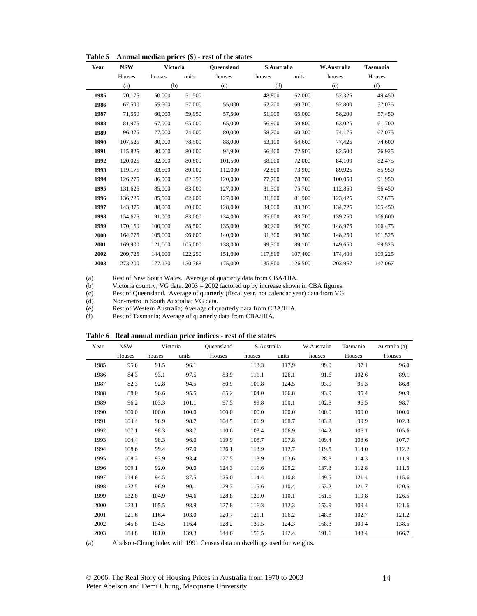| Year | <b>NSW</b> | <b>Victoria</b> |         | <b>Oueensland</b> | S.Australia |         | W.Australia | <b>Tasmania</b> |
|------|------------|-----------------|---------|-------------------|-------------|---------|-------------|-----------------|
|      | Houses     | houses          | units   | houses            | houses      | units   | houses      | Houses          |
|      | (a)        | (b)             |         | (c)               | (d)         |         |             | (f)             |
| 1985 | 70,175     | 50,000          | 51,500  |                   | 48.800      | 52,000  | 52,325      | 49,450          |
| 1986 | 67,500     | 55,500          | 57,000  | 55,000            | 52,200      | 60,700  | 52,800      | 57,025          |
| 1987 | 71,550     | 60,000          | 59,950  | 57,500            | 51,900      | 65,000  | 58,200      | 57,450          |
| 1988 | 81,975     | 67,000          | 65,000  | 65,000            | 56,900      | 59,800  | 63,025      | 61,700          |
| 1989 | 96,375     | 77,000          | 74,000  | 80,000            | 58,700      | 60,300  | 74,175      | 67,075          |
| 1990 | 107,525    | 80,000          | 78,500  | 88,000            | 63,100      | 64,600  | 77,425      | 74,600          |
| 1991 | 115,825    | 80,000          | 80,000  | 94.900            | 66,400      | 72,500  | 82.500      | 76,925          |
| 1992 | 120,025    | 82,000          | 80,800  | 101,500           | 68,000      | 72,000  | 84,100      | 82,475          |
| 1993 | 119,175    | 83,500          | 80,000  | 112,000           | 72,800      | 73,900  | 89,925      | 85,950          |
| 1994 | 126,275    | 86,000          | 82,350  | 120,000           | 77.700      | 78,700  | 100,050     | 91,950          |
| 1995 | 131,625    | 85,000          | 83,000  | 127,000           | 81,300      | 75,700  | 112,850     | 96,450          |
| 1996 | 136,225    | 85,500          | 82,000  | 127,000           | 81,800      | 81,900  | 123,425     | 97,675          |
| 1997 | 143,375    | 88,000          | 80,000  | 128,000           | 84,000      | 83.300  | 134,725     | 105.450         |
| 1998 | 154,675    | 91.000          | 83,000  | 134,000           | 85,600      | 83,700  | 139,250     | 106,600         |
| 1999 | 170.150    | 100,000         | 88.500  | 135,000           | 90,200      | 84,700  | 148,975     | 106,475         |
| 2000 | 164,775    | 105,000         | 96.600  | 140,000           | 91,300      | 90,300  | 148,250     | 101,525         |
| 2001 | 169,900    | 121,000         | 105,000 | 138,000           | 99,300      | 89,100  | 149,650     | 99,525          |
| 2002 | 209,725    | 144,000         | 122,250 | 151,000           | 117,800     | 107,400 | 174,400     | 109,225         |
| 2003 | 273,200    | 177,120         | 150,368 | 175,000           | 135,800     | 126,500 | 203,967     | 147,067         |

**Table 5 Annual median prices (\$) - rest of the states** 

(a) Rest of New South Wales. Average of quarterly data from CBA/HIA.

(b) Victoria country; VG data. 2003 = 2002 factored up by increase shown in CBA figures.

(c) Rest of Queensland. Average of quarterly (fiscal year, not calendar year) data from VG.

(d) Non-metro in South Australia; VG data.

(e) Rest of Western Australia; Average of quarterly data from CBA/HIA.

(f) Rest of Tasmania; Average of quarterly data from CBA/HIA.

| Table 6 Real annual median price indices - rest of the states |  |
|---------------------------------------------------------------|--|
|---------------------------------------------------------------|--|

| Year | <b>NSW</b> |        | Victoria | Oueensland | S.Australia |       | W.Australia | Tasmania | Australia (a) |
|------|------------|--------|----------|------------|-------------|-------|-------------|----------|---------------|
|      | Houses     | houses | units    | Houses     | houses      | units | houses      | Houses   | Houses        |
| 1985 | 95.6       | 91.5   | 96.1     |            | 113.3       | 117.9 | 99.0        | 97.1     | 96.0          |
| 1986 | 84.3       | 93.1   | 97.5     | 83.9       | 111.1       | 126.1 | 91.6        | 102.6    | 89.1          |
| 1987 | 82.3       | 92.8   | 94.5     | 80.9       | 101.8       | 124.5 | 93.0        | 95.3     | 86.8          |
| 1988 | 88.0       | 96.6   | 95.5     | 85.2       | 104.0       | 106.8 | 93.9        | 95.4     | 90.9          |
| 1989 | 96.2       | 103.3  | 101.1    | 97.5       | 99.8        | 100.1 | 102.8       | 96.5     | 98.7          |
| 1990 | 100.0      | 100.0  | 100.0    | 100.0      | 100.0       | 100.0 | 100.0       | 100.0    | 100.0         |
| 1991 | 104.4      | 96.9   | 98.7     | 104.5      | 101.9       | 108.7 | 103.2       | 99.9     | 102.3         |
| 1992 | 107.1      | 98.3   | 98.7     | 110.6      | 103.4       | 106.9 | 104.2       | 106.1    | 105.6         |
| 1993 | 104.4      | 98.3   | 96.0     | 119.9      | 108.7       | 107.8 | 109.4       | 108.6    | 107.7         |
| 1994 | 108.6      | 99.4   | 97.0     | 126.1      | 113.9       | 112.7 | 119.5       | 114.0    | 112.2         |
| 1995 | 108.2      | 93.9   | 93.4     | 127.5      | 113.9       | 103.6 | 128.8       | 114.3    | 111.9         |
| 1996 | 109.1      | 92.0   | 90.0     | 124.3      | 111.6       | 109.2 | 137.3       | 112.8    | 111.5         |
| 1997 | 114.6      | 94.5   | 87.5     | 125.0      | 114.4       | 110.8 | 149.5       | 121.4    | 115.6         |
| 1998 | 122.5      | 96.9   | 90.1     | 129.7      | 115.6       | 110.4 | 153.2       | 121.7    | 120.5         |
| 1999 | 132.8      | 104.9  | 94.6     | 128.8      | 120.0       | 110.1 | 161.5       | 119.8    | 126.5         |
| 2000 | 123.1      | 105.5  | 98.9     | 127.8      | 116.3       | 112.3 | 153.9       | 109.4    | 121.6         |
| 2001 | 121.6      | 116.4  | 103.0    | 120.7      | 121.1       | 106.2 | 148.8       | 102.7    | 121.2         |
| 2002 | 145.8      | 134.5  | 116.4    | 128.2      | 139.5       | 124.3 | 168.3       | 109.4    | 138.5         |
| 2003 | 184.8      | 161.0  | 139.3    | 144.6      | 156.5       | 142.4 | 191.6       | 143.4    | 166.7         |

(a) Abelson-Chung index with 1991 Census data on dwellings used for weights.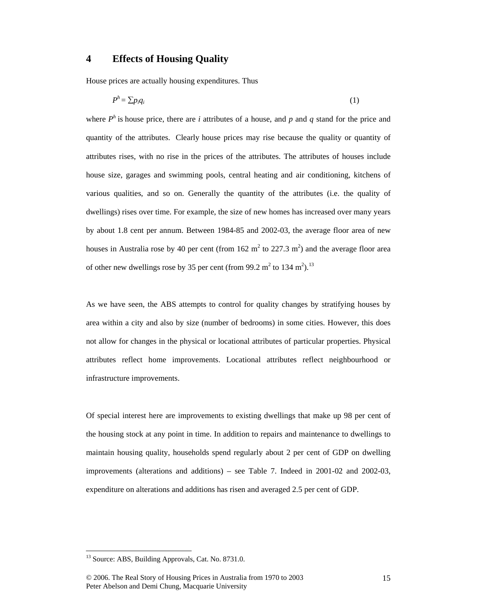### **4 Effects of Housing Quality**

House prices are actually housing expenditures. Thus

$$
P^h = \sum p_i q_i \tag{1}
$$

where  $P^h$  is house price, there are *i* attributes of a house, and p and q stand for the price and quantity of the attributes. Clearly house prices may rise because the quality or quantity of attributes rises, with no rise in the prices of the attributes. The attributes of houses include house size, garages and swimming pools, central heating and air conditioning, kitchens of various qualities, and so on. Generally the quantity of the attributes (i.e. the quality of dwellings) rises over time. For example, the size of new homes has increased over many years by about 1.8 cent per annum. Between 1984-85 and 2002-03, the average floor area of new houses in Australia rose by 40 per cent (from 162 m<sup>2</sup> to 227.3 m<sup>2</sup>) and the average floor area of other new dwellings rose by 35 per cent (from 99.2 m<sup>2</sup> to 134 m<sup>2</sup>).<sup>13</sup>

As we have seen, the ABS attempts to control for quality changes by stratifying houses by area within a city and also by size (number of bedrooms) in some cities. However, this does not allow for changes in the physical or locational attributes of particular properties. Physical attributes reflect home improvements. Locational attributes reflect neighbourhood or infrastructure improvements.

Of special interest here are improvements to existing dwellings that make up 98 per cent of the housing stock at any point in time. In addition to repairs and maintenance to dwellings to maintain housing quality, households spend regularly about 2 per cent of GDP on dwelling improvements (alterations and additions) – see Table 7. Indeed in 2001-02 and 2002-03, expenditure on alterations and additions has risen and averaged 2.5 per cent of GDP.

<sup>&</sup>lt;sup>13</sup> Source: ABS, Building Approvals, Cat. No. 8731.0.

<sup>© 2006.</sup> The Real Story of Housing Prices in Australia from 1970 to 2003 Peter Abelson and Demi Chung, Macquarie University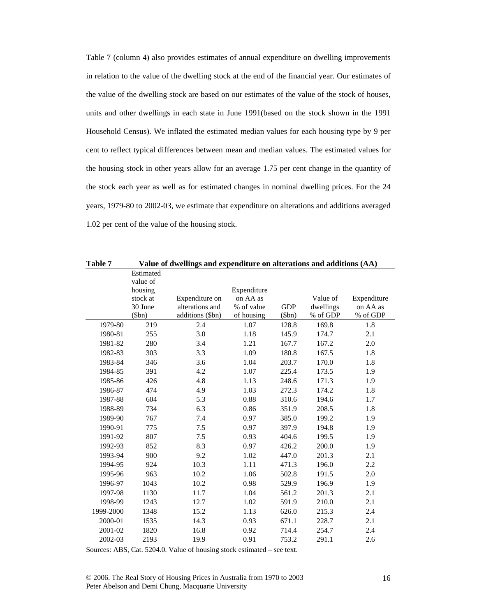Table 7 (column 4) also provides estimates of annual expenditure on dwelling improvements in relation to the value of the dwelling stock at the end of the financial year. Our estimates of the value of the dwelling stock are based on our estimates of the value of the stock of houses, units and other dwellings in each state in June 1991(based on the stock shown in the 1991 Household Census). We inflated the estimated median values for each housing type by 9 per cent to reflect typical differences between mean and median values. The estimated values for the housing stock in other years allow for an average 1.75 per cent change in the quantity of the stock each year as well as for estimated changes in nominal dwelling prices. For the 24 years, 1979-80 to 2002-03, we estimate that expenditure on alterations and additions averaged 1.02 per cent of the value of the housing stock.

| Table 7   | Value of dwellings and expenditure on alterations and additions (AA) |                  |             |            |           |             |  |  |  |  |  |
|-----------|----------------------------------------------------------------------|------------------|-------------|------------|-----------|-------------|--|--|--|--|--|
|           | Estimated                                                            |                  |             |            |           |             |  |  |  |  |  |
|           | value of                                                             |                  |             |            |           |             |  |  |  |  |  |
|           | housing                                                              |                  | Expenditure |            |           |             |  |  |  |  |  |
|           | stock at                                                             | Expenditure on   | on AA as    |            | Value of  | Expenditure |  |  |  |  |  |
|           | 30 June                                                              | alterations and  | % of value  | <b>GDP</b> | dwellings | on AA as    |  |  |  |  |  |
|           | \$bn)                                                                | additions (\$bn) | of housing  | \$bm)      | % of GDP  | % of GDP    |  |  |  |  |  |
| 1979-80   | 219                                                                  | 2.4              | 1.07        | 128.8      | 169.8     | 1.8         |  |  |  |  |  |
| 1980-81   | 255                                                                  | 3.0              | 1.18        | 145.9      | 174.7     | 2.1         |  |  |  |  |  |
| 1981-82   | 280                                                                  | 3.4              | 1.21        | 167.7      | 167.2     | 2.0         |  |  |  |  |  |
| 1982-83   | 303                                                                  | 3.3              | 1.09        | 180.8      | 167.5     | 1.8         |  |  |  |  |  |
| 1983-84   | 346                                                                  | 3.6              | 1.04        | 203.7      | 170.0     | 1.8         |  |  |  |  |  |
| 1984-85   | 391                                                                  | 4.2              | 1.07        | 225.4      | 173.5     | 1.9         |  |  |  |  |  |
| 1985-86   | 426                                                                  | 4.8              | 1.13        | 248.6      | 171.3     | 1.9         |  |  |  |  |  |
| 1986-87   | 474                                                                  | 4.9              | 1.03        | 272.3      | 174.2     | 1.8         |  |  |  |  |  |
| 1987-88   | 604                                                                  | 5.3              | 0.88        | 310.6      | 194.6     | 1.7         |  |  |  |  |  |
| 1988-89   | 734                                                                  | 6.3              | 0.86        | 351.9      | 208.5     | 1.8         |  |  |  |  |  |
| 1989-90   | 767                                                                  | 7.4              | 0.97        | 385.0      | 199.2     | 1.9         |  |  |  |  |  |
| 1990-91   | 775                                                                  | 7.5              | 0.97        | 397.9      | 194.8     | 1.9         |  |  |  |  |  |
| 1991-92   | 807                                                                  | 7.5              | 0.93        | 404.6      | 199.5     | 1.9         |  |  |  |  |  |
| 1992-93   | 852                                                                  | 8.3              | 0.97        | 426.2      | 200.0     | 1.9         |  |  |  |  |  |
| 1993-94   | 900                                                                  | 9.2              | 1.02        | 447.0      | 201.3     | 2.1         |  |  |  |  |  |
| 1994-95   | 924                                                                  | 10.3             | 1.11        | 471.3      | 196.0     | 2.2         |  |  |  |  |  |
| 1995-96   | 963                                                                  | 10.2             | 1.06        | 502.8      | 191.5     | 2.0         |  |  |  |  |  |
| 1996-97   | 1043                                                                 | 10.2             | 0.98        | 529.9      | 196.9     | 1.9         |  |  |  |  |  |
| 1997-98   | 1130                                                                 | 11.7             | 1.04        | 561.2      | 201.3     | 2.1         |  |  |  |  |  |
| 1998-99   | 1243                                                                 | 12.7             | 1.02        | 591.9      | 210.0     | 2.1         |  |  |  |  |  |
| 1999-2000 | 1348                                                                 | 15.2             | 1.13        | 626.0      | 215.3     | 2.4         |  |  |  |  |  |
| 2000-01   | 1535                                                                 | 14.3             | 0.93        | 671.1      | 228.7     | 2.1         |  |  |  |  |  |
| 2001-02   | 1820                                                                 | 16.8             | 0.92        | 714.4      | 254.7     | 2.4         |  |  |  |  |  |
| 2002-03   | 2193                                                                 | 19.9             | 0.91        | 753.2      | 291.1     | 2.6         |  |  |  |  |  |

Sources: ABS, Cat. 5204.0. Value of housing stock estimated – see text.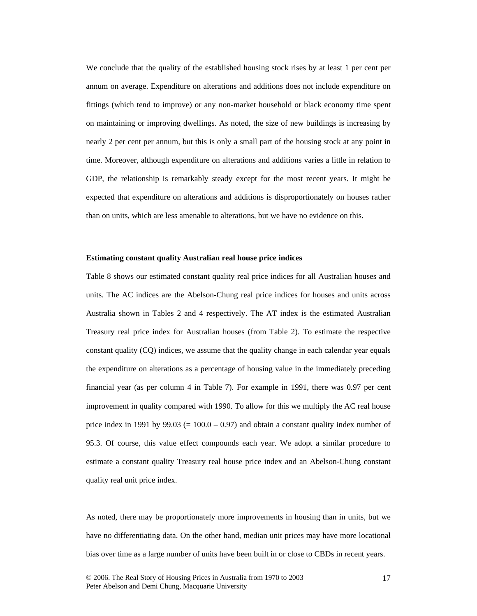We conclude that the quality of the established housing stock rises by at least 1 per cent per annum on average. Expenditure on alterations and additions does not include expenditure on fittings (which tend to improve) or any non-market household or black economy time spent on maintaining or improving dwellings. As noted, the size of new buildings is increasing by nearly 2 per cent per annum, but this is only a small part of the housing stock at any point in time. Moreover, although expenditure on alterations and additions varies a little in relation to GDP, the relationship is remarkably steady except for the most recent years. It might be expected that expenditure on alterations and additions is disproportionately on houses rather than on units, which are less amenable to alterations, but we have no evidence on this.

#### **Estimating constant quality Australian real house price indices**

Table 8 shows our estimated constant quality real price indices for all Australian houses and units. The AC indices are the Abelson-Chung real price indices for houses and units across Australia shown in Tables 2 and 4 respectively. The AT index is the estimated Australian Treasury real price index for Australian houses (from Table 2). To estimate the respective constant quality (CQ) indices, we assume that the quality change in each calendar year equals the expenditure on alterations as a percentage of housing value in the immediately preceding financial year (as per column 4 in Table 7). For example in 1991, there was 0.97 per cent improvement in quality compared with 1990. To allow for this we multiply the AC real house price index in 1991 by 99.03 ( $= 100.0 - 0.97$ ) and obtain a constant quality index number of 95.3. Of course, this value effect compounds each year. We adopt a similar procedure to estimate a constant quality Treasury real house price index and an Abelson-Chung constant quality real unit price index.

As noted, there may be proportionately more improvements in housing than in units, but we have no differentiating data. On the other hand, median unit prices may have more locational bias over time as a large number of units have been built in or close to CBDs in recent years.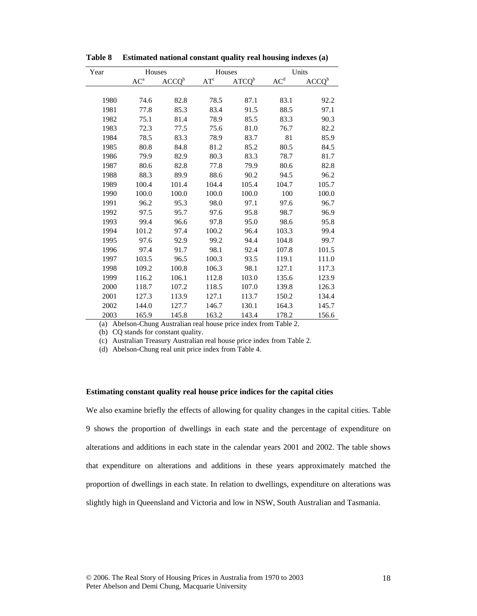| Year | Houses                 |                   | Houses |                   |                    | Units             |
|------|------------------------|-------------------|--------|-------------------|--------------------|-------------------|
|      | $\mbox{AC}^{\mbox{a}}$ | ACCQ <sup>b</sup> | $AT^c$ | ATCQ <sup>b</sup> | $\underline{AC}^d$ | ACCQ <sup>b</sup> |
|      |                        |                   |        |                   |                    |                   |
| 1980 | 74.6                   | 82.8              | 78.5   | 87.1              | 83.1               | 92.2              |
| 1981 | 77.8                   | 85.3              | 83.4   | 91.5              | 88.5               | 97.1              |
| 1982 | 75.1                   | 81.4              | 78.9   | 85.5              | 83.3               | 90.3              |
| 1983 | 72.3                   | 77.5              | 75.6   | 81.0              | 76.7               | 82.2              |
| 1984 | 78.5                   | 83.3              | 78.9   | 83.7              | 81                 | 85.9              |
| 1985 | 80.8                   | 84.8              | 81.2   | 85.2              | 80.5               | 84.5              |
| 1986 | 79.9                   | 82.9              | 80.3   | 83.3              | 78.7               | 81.7              |
| 1987 | 80.6                   | 82.8              | 77.8   | 79.9              | 80.6               | 82.8              |
| 1988 | 88.3                   | 89.9              | 88.6   | 90.2              | 94.5               | 96.2              |
| 1989 | 100.4                  | 101.4             | 104.4  | 105.4             | 104.7              | 105.7             |
| 1990 | 100.0                  | 100.0             | 100.0  | 100.0             | 100                | 100.0             |
| 1991 | 96.2                   | 95.3              | 98.0   | 97.1              | 97.6               | 96.7              |
| 1992 | 97.5                   | 95.7              | 97.6   | 95.8              | 98.7               | 96.9              |
| 1993 | 99.4                   | 96.6              | 97.8   | 95.0              | 98.6               | 95.8              |
| 1994 | 101.2                  | 97.4              | 100.2  | 96.4              | 103.3              | 99.4              |
| 1995 | 97.6                   | 92.9              | 99.2   | 94.4              | 104.8              | 99.7              |
| 1996 | 97.4                   | 91.7              | 98.1   | 92.4              | 107.8              | 101.5             |
| 1997 | 103.5                  | 96.5              | 100.3  | 93.5              | 119.1              | 111.0             |
| 1998 | 109.2                  | 100.8             | 106.3  | 98.1              | 127.1              | 117.3             |
| 1999 | 116.2                  | 106.1             | 112.8  | 103.0             | 135.6              | 123.9             |
| 2000 | 118.7                  | 107.2             | 118.5  | 107.0             | 139.8              | 126.3             |
| 2001 | 127.3                  | 113.9             | 127.1  | 113.7             | 150.2              | 134.4             |
| 2002 | 144.0                  | 127.7             | 146.7  | 130.1             | 164.3              | 145.7             |
| 2003 | 165.9                  | 145.8             | 163.2  | 143.4             | 178.2              | 156.6             |

**Table 8 Estimated national constant quality real housing indexes (a)** 

(a) Abelson-Chung Australian real house price index from Table 2.

(b) CQ stands for constant quality.

(c) Australian Treasury Australian real house price index from Table 2.

(d) Abelson-Chung real unit price index from Table 4.

### **Estimating constant quality real house price indices for the capital cities**

We also examine briefly the effects of allowing for quality changes in the capital cities. Table 9 shows the proportion of dwellings in each state and the percentage of expenditure on alterations and additions in each state in the calendar years 2001 and 2002. The table shows that expenditure on alterations and additions in these years approximately matched the proportion of dwellings in each state. In relation to dwellings, expenditure on alterations was slightly high in Queensland and Victoria and low in NSW, South Australian and Tasmania.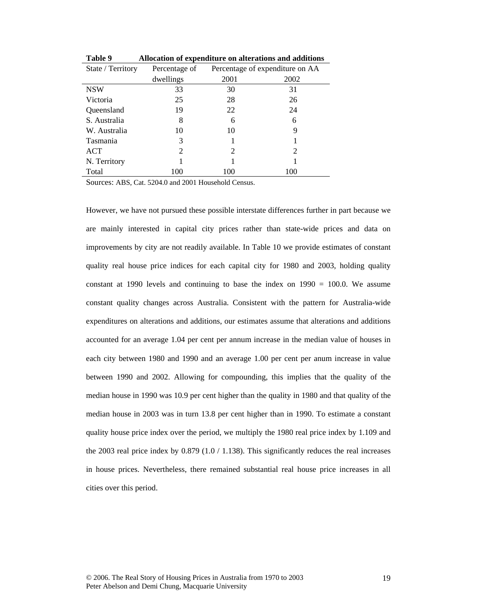| State / Territory | Percentage of | Percentage of expenditure on AA |      |  |
|-------------------|---------------|---------------------------------|------|--|
|                   | dwellings     | 2001                            | 2002 |  |
| <b>NSW</b>        | 33            | 30                              | 31   |  |
| Victoria          | 25            | 28                              | 26   |  |
| Queensland        | 19            | 22                              | 24   |  |
| S. Australia      | 8             | 6                               | 6    |  |
| W. Australia      | 10            | 10                              | 9    |  |
| <b>Tasmania</b>   | 3             |                                 |      |  |
| <b>ACT</b>        | 2             | 2                               | 2    |  |
| N. Territory      |               |                                 |      |  |
| Total             | 100           | 100                             | 100  |  |

**Table 9 Allocation of expenditure on alterations and additions** 

Sources: ABS, Cat. 5204.0 and 2001 Household Census.

However, we have not pursued these possible interstate differences further in part because we are mainly interested in capital city prices rather than state-wide prices and data on improvements by city are not readily available. In Table 10 we provide estimates of constant quality real house price indices for each capital city for 1980 and 2003, holding quality constant at 1990 levels and continuing to base the index on 1990 = 100.0. We assume constant quality changes across Australia. Consistent with the pattern for Australia-wide expenditures on alterations and additions, our estimates assume that alterations and additions accounted for an average 1.04 per cent per annum increase in the median value of houses in each city between 1980 and 1990 and an average 1.00 per cent per anum increase in value between 1990 and 2002. Allowing for compounding, this implies that the quality of the median house in 1990 was 10.9 per cent higher than the quality in 1980 and that quality of the median house in 2003 was in turn 13.8 per cent higher than in 1990. To estimate a constant quality house price index over the period, we multiply the 1980 real price index by 1.109 and the 2003 real price index by  $0.879$  (1.0 / 1.138). This significantly reduces the real increases in house prices. Nevertheless, there remained substantial real house price increases in all cities over this period.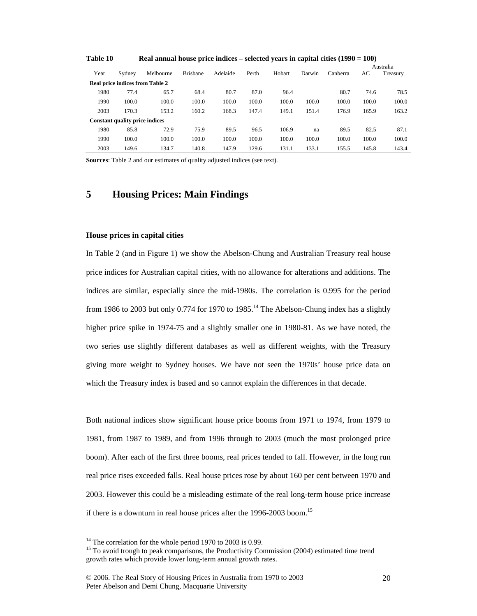| TUDIC TA                               |                                       | <b>Acar annual house price mulces</b> |                 |          |       |        |        | $\frac{1}{2}$ |       |           |
|----------------------------------------|---------------------------------------|---------------------------------------|-----------------|----------|-------|--------|--------|---------------|-------|-----------|
|                                        |                                       |                                       |                 |          |       |        |        |               |       | Australia |
| Year                                   | Sydney                                | Melbourne                             | <b>Brisbane</b> | Adelaide | Perth | Hobart | Darwin | Canberra      | AC    | Treasury  |
| <b>Real price indices from Table 2</b> |                                       |                                       |                 |          |       |        |        |               |       |           |
| 1980                                   | 77.4                                  | 65.7                                  | 68.4            | 80.7     | 87.0  | 96.4   |        | 80.7          | 74.6  | 78.5      |
| 1990                                   | 100.0                                 | 100.0                                 | 100.0           | 100.0    | 100.0 | 100.0  | 100.0  | 100.0         | 100.0 | 100.0     |
| 2003                                   | 170.3                                 | 153.2                                 | 160.2           | 168.3    | 147.4 | 149.1  | 151.4  | 176.9         | 165.9 | 163.2     |
|                                        | <b>Constant quality price indices</b> |                                       |                 |          |       |        |        |               |       |           |
| 1980                                   | 85.8                                  | 72.9                                  | 75.9            | 89.5     | 96.5  | 106.9  | na     | 89.5          | 82.5  | 87.1      |
| 1990                                   | 100.0                                 | 100.0                                 | 100.0           | 100.0    | 100.0 | 100.0  | 100.0  | 100.0         | 100.0 | 100.0     |
| 2003                                   | 149.6                                 | 134.7                                 | 140.8           | 147.9    | 129.6 | 131.1  | 133.1  | 155.5         | 145.8 | 143.4     |

**Table 10 Real annual house price indices – selected years in capital cities (1990 = 100)** 

**Sources**: Table 2 and our estimates of quality adjusted indices (see text).

### **5 Housing Prices: Main Findings**

### **House prices in capital cities**

In Table 2 (and in Figure 1) we show the Abelson-Chung and Australian Treasury real house price indices for Australian capital cities, with no allowance for alterations and additions. The indices are similar, especially since the mid-1980s. The correlation is 0.995 for the period from 1986 to 2003 but only 0.774 for 1970 to 1985.<sup>14</sup> The Abelson-Chung index has a slightly higher price spike in 1974-75 and a slightly smaller one in 1980-81. As we have noted, the two series use slightly different databases as well as different weights, with the Treasury giving more weight to Sydney houses. We have not seen the 1970s' house price data on which the Treasury index is based and so cannot explain the differences in that decade.

Both national indices show significant house price booms from 1971 to 1974, from 1979 to 1981, from 1987 to 1989, and from 1996 through to 2003 (much the most prolonged price boom). After each of the first three booms, real prices tended to fall. However, in the long run real price rises exceeded falls. Real house prices rose by about 160 per cent between 1970 and 2003. However this could be a misleading estimate of the real long-term house price increase if there is a downturn in real house prices after the 1996-2003 boom.<sup>15</sup>

 $\overline{a}$ 

 $14$  The correlation for the whole period 1970 to 2003 is 0.99.

<sup>&</sup>lt;sup>15</sup> To avoid trough to peak comparisons, the Productivity Commission (2004) estimated time trend growth rates which provide lower long-term annual growth rates.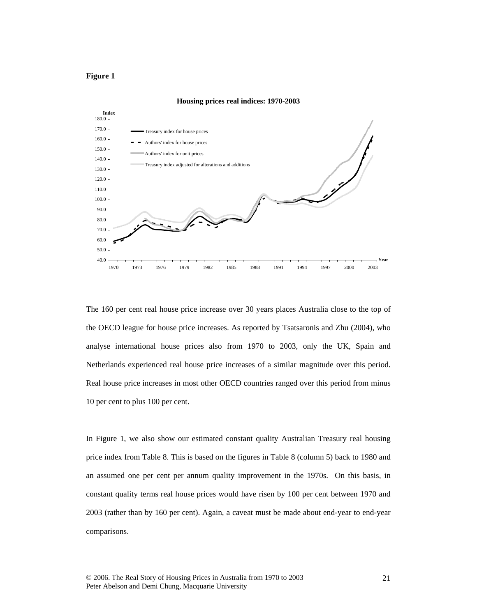### **Figure 1**



**Housing prices real indices: 1970-2003**

The 160 per cent real house price increase over 30 years places Australia close to the top of the OECD league for house price increases. As reported by Tsatsaronis and Zhu (2004), who analyse international house prices also from 1970 to 2003, only the UK, Spain and Netherlands experienced real house price increases of a similar magnitude over this period. Real house price increases in most other OECD countries ranged over this period from minus 10 per cent to plus 100 per cent.

In Figure 1, we also show our estimated constant quality Australian Treasury real housing price index from Table 8. This is based on the figures in Table 8 (column 5) back to 1980 and an assumed one per cent per annum quality improvement in the 1970s. On this basis, in constant quality terms real house prices would have risen by 100 per cent between 1970 and 2003 (rather than by 160 per cent). Again, a caveat must be made about end-year to end-year comparisons.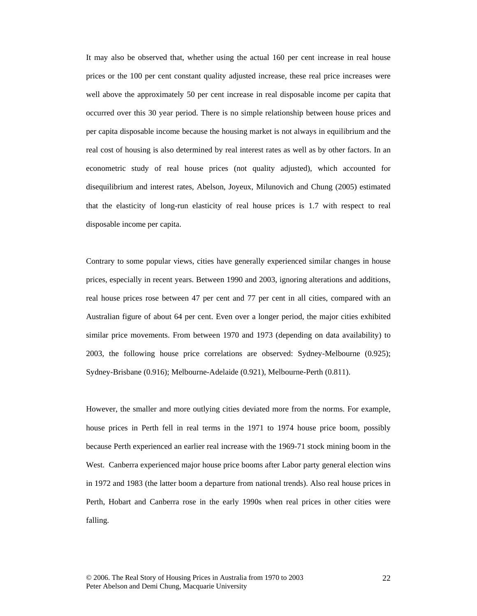It may also be observed that, whether using the actual 160 per cent increase in real house prices or the 100 per cent constant quality adjusted increase, these real price increases were well above the approximately 50 per cent increase in real disposable income per capita that occurred over this 30 year period. There is no simple relationship between house prices and per capita disposable income because the housing market is not always in equilibrium and the real cost of housing is also determined by real interest rates as well as by other factors. In an econometric study of real house prices (not quality adjusted), which accounted for disequilibrium and interest rates, Abelson, Joyeux, Milunovich and Chung (2005) estimated that the elasticity of long-run elasticity of real house prices is 1.7 with respect to real disposable income per capita.

Contrary to some popular views, cities have generally experienced similar changes in house prices, especially in recent years. Between 1990 and 2003, ignoring alterations and additions, real house prices rose between 47 per cent and 77 per cent in all cities, compared with an Australian figure of about 64 per cent. Even over a longer period, the major cities exhibited similar price movements. From between 1970 and 1973 (depending on data availability) to 2003, the following house price correlations are observed: Sydney-Melbourne (0.925); Sydney-Brisbane (0.916); Melbourne-Adelaide (0.921), Melbourne-Perth (0.811).

However, the smaller and more outlying cities deviated more from the norms. For example, house prices in Perth fell in real terms in the 1971 to 1974 house price boom, possibly because Perth experienced an earlier real increase with the 1969-71 stock mining boom in the West. Canberra experienced major house price booms after Labor party general election wins in 1972 and 1983 (the latter boom a departure from national trends). Also real house prices in Perth, Hobart and Canberra rose in the early 1990s when real prices in other cities were falling.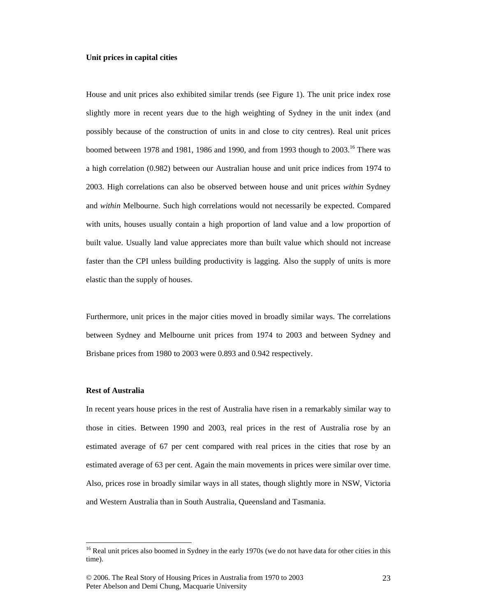#### **Unit prices in capital cities**

House and unit prices also exhibited similar trends (see Figure 1). The unit price index rose slightly more in recent years due to the high weighting of Sydney in the unit index (and possibly because of the construction of units in and close to city centres). Real unit prices boomed between 1978 and 1981, 1986 and 1990, and from 1993 though to  $2003$ .<sup>16</sup> There was a high correlation (0.982) between our Australian house and unit price indices from 1974 to 2003. High correlations can also be observed between house and unit prices *within* Sydney and *within* Melbourne. Such high correlations would not necessarily be expected. Compared with units, houses usually contain a high proportion of land value and a low proportion of built value. Usually land value appreciates more than built value which should not increase faster than the CPI unless building productivity is lagging. Also the supply of units is more elastic than the supply of houses.

Furthermore, unit prices in the major cities moved in broadly similar ways. The correlations between Sydney and Melbourne unit prices from 1974 to 2003 and between Sydney and Brisbane prices from 1980 to 2003 were 0.893 and 0.942 respectively.

### **Rest of Australia**

 $\overline{a}$ 

In recent years house prices in the rest of Australia have risen in a remarkably similar way to those in cities. Between 1990 and 2003, real prices in the rest of Australia rose by an estimated average of 67 per cent compared with real prices in the cities that rose by an estimated average of 63 per cent. Again the main movements in prices were similar over time. Also, prices rose in broadly similar ways in all states, though slightly more in NSW, Victoria and Western Australia than in South Australia, Queensland and Tasmania.

<sup>&</sup>lt;sup>16</sup> Real unit prices also boomed in Sydney in the early 1970s (we do not have data for other cities in this time).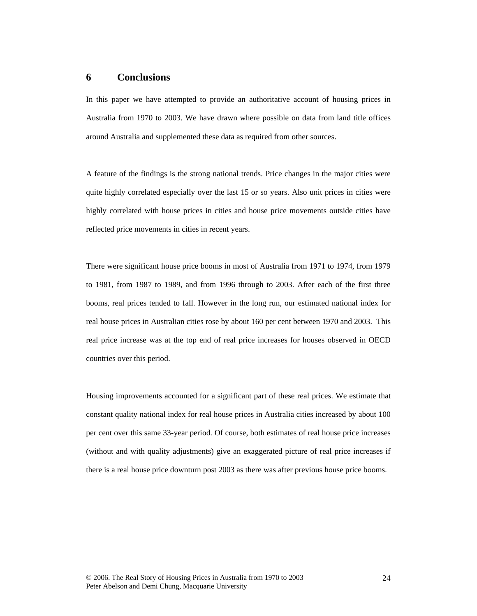### **6 Conclusions**

In this paper we have attempted to provide an authoritative account of housing prices in Australia from 1970 to 2003. We have drawn where possible on data from land title offices around Australia and supplemented these data as required from other sources.

A feature of the findings is the strong national trends. Price changes in the major cities were quite highly correlated especially over the last 15 or so years. Also unit prices in cities were highly correlated with house prices in cities and house price movements outside cities have reflected price movements in cities in recent years.

There were significant house price booms in most of Australia from 1971 to 1974, from 1979 to 1981, from 1987 to 1989, and from 1996 through to 2003. After each of the first three booms, real prices tended to fall. However in the long run, our estimated national index for real house prices in Australian cities rose by about 160 per cent between 1970 and 2003. This real price increase was at the top end of real price increases for houses observed in OECD countries over this period.

Housing improvements accounted for a significant part of these real prices. We estimate that constant quality national index for real house prices in Australia cities increased by about 100 per cent over this same 33-year period. Of course, both estimates of real house price increases (without and with quality adjustments) give an exaggerated picture of real price increases if there is a real house price downturn post 2003 as there was after previous house price booms.